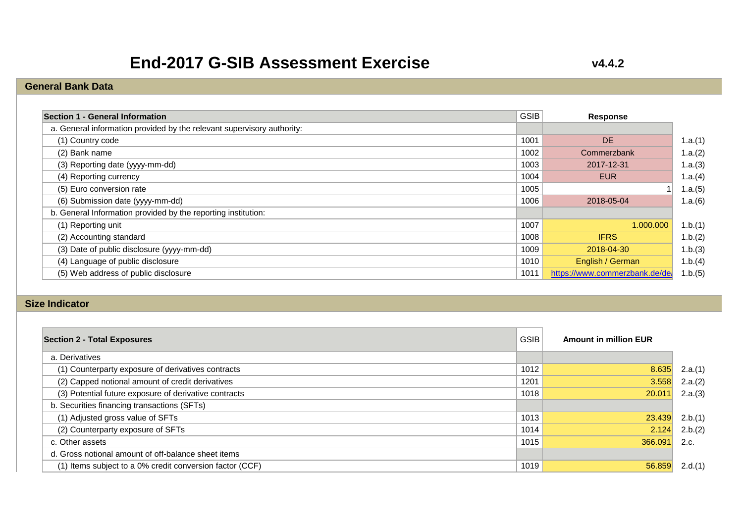# **End-2017 G-SIB Assessment Exercise**

### **v4.4.2**

### **General Bank Data**

| Section 1 - General Information                                        | <b>GSIB</b> | Response                       |
|------------------------------------------------------------------------|-------------|--------------------------------|
| a. General information provided by the relevant supervisory authority: |             |                                |
| (1) Country code                                                       | 1001        | <b>DE</b>                      |
| (2) Bank name                                                          | 1002        | Commerzbank                    |
| (3) Reporting date (yyyy-mm-dd)                                        | 1003        | 2017-12-31                     |
| (4) Reporting currency                                                 | 1004        | <b>EUR</b>                     |
| (5) Euro conversion rate                                               | 1005        |                                |
| (6) Submission date (yyyy-mm-dd)                                       | 1006        | 2018-05-04                     |
| b. General Information provided by the reporting institution:          |             |                                |
| (1) Reporting unit                                                     | 1007        | 1.000.000                      |
| (2) Accounting standard                                                | 1008        | <b>IFRS</b>                    |
| (3) Date of public disclosure (yyyy-mm-dd)                             | 1009        | 2018-04-30                     |
| (4) Language of public disclosure                                      | 1010        | English / German               |
| (5) Web address of public disclosure                                   | 1011        | https://www.commerzbank.de/de/ |

#### **Size Indicator**

| <b>Section 2 - Total Exposures</b>                       | <b>GSIB</b> | <b>Amount in million EUR</b> |         |
|----------------------------------------------------------|-------------|------------------------------|---------|
| a. Derivatives                                           |             |                              |         |
| (1) Counterparty exposure of derivatives contracts       | 1012        | 8.635                        | 2.a.(1) |
| (2) Capped notional amount of credit derivatives         | 1201        | 3.558                        | 2.a.(2) |
| (3) Potential future exposure of derivative contracts    | 1018        | 20.011                       | 2.a.(3) |
| b. Securities financing transactions (SFTs)              |             |                              |         |
| (1) Adjusted gross value of SFTs                         | 1013        | 23.439                       | 2.b.(1) |
| (2) Counterparty exposure of SFTs                        | 1014        | 2.124                        | 2.b.(2) |
| c. Other assets                                          | 1015        | 366.091                      | 2.c.    |
| d. Gross notional amount of off-balance sheet items      |             |                              |         |
| (1) Items subject to a 0% credit conversion factor (CCF) | 1019        | 56.859                       | 2.d.(1) |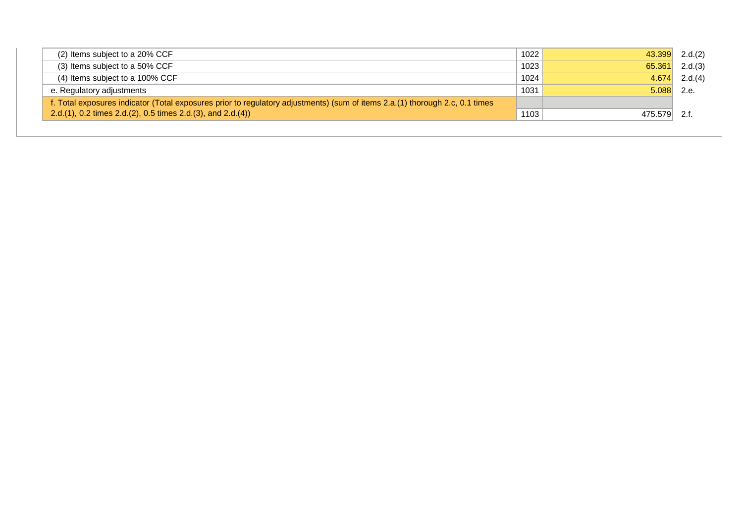| (2) Items subject to a 20% CCF                                                                                               | 1022 | 43.399  | 2.d.(2) |
|------------------------------------------------------------------------------------------------------------------------------|------|---------|---------|
| (3) Items subject to a 50% CCF                                                                                               | 1023 | 65.361  | 2.d.(3) |
| (4) Items subject to a 100% CCF                                                                                              | 1024 | 4.674   | 2.d.(4) |
| e. Regulatory adjustments                                                                                                    | 1031 | 5.088   | 2.e.    |
| f. Total exposures indicator (Total exposures prior to regulatory adjustments) (sum of items 2.a.(1) thorough 2.c, 0.1 times |      |         |         |
| 2.d.(1), 0.2 times 2.d.(2), 0.5 times 2.d.(3), and 2.d.(4))                                                                  | 1103 | 475.579 | 2.f     |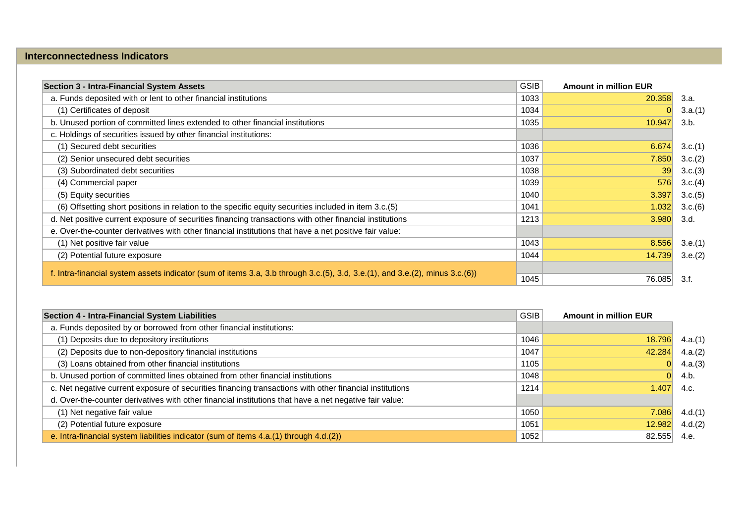### **Interconnectedness Indicators**

| <b>Section 3 - Intra-Financial System Assets</b>                                                                             | <b>GSIB</b> | <b>Amount in million EUR</b> |         |
|------------------------------------------------------------------------------------------------------------------------------|-------------|------------------------------|---------|
| a. Funds deposited with or lent to other financial institutions                                                              | 1033        | 20.358                       | 3.a.    |
| (1) Certificates of deposit                                                                                                  | 1034        |                              | 3.a.(1) |
| b. Unused portion of committed lines extended to other financial institutions                                                | 1035        | 10.947                       | 3.b.    |
| c. Holdings of securities issued by other financial institutions:                                                            |             |                              |         |
| (1) Secured debt securities                                                                                                  | 1036        | 6.674                        | 3.c.(1) |
| (2) Senior unsecured debt securities                                                                                         | 1037        | 7.850                        | 3.c.(2) |
| (3) Subordinated debt securities                                                                                             | 1038        | 39                           | 3.c.(3) |
| (4) Commercial paper                                                                                                         | 1039        | 576                          | 3.c.(4) |
| (5) Equity securities                                                                                                        | 1040        | 3.397                        | 3.c.(5) |
| (6) Offsetting short positions in relation to the specific equity securities included in item 3.c.(5)                        | 1041        | 1.032                        | 3.c.(6) |
| d. Net positive current exposure of securities financing transactions with other financial institutions                      | 1213        | 3.980                        | 3.d.    |
| e. Over-the-counter derivatives with other financial institutions that have a net positive fair value:                       |             |                              |         |
| (1) Net positive fair value                                                                                                  | 1043        | 8.556                        | 3.e.(1) |
| (2) Potential future exposure                                                                                                | 1044        | 14.739                       | 3.e.(2) |
| f. Intra-financial system assets indicator (sum of items 3.a, 3.b through 3.c.(5), 3.d, 3.e.(1), and 3.e.(2), minus 3.c.(6)) |             |                              |         |
|                                                                                                                              | 1045        | 76.085                       | 3.f.    |

| Section 4 - Intra-Financial System Liabilities                                                          | <b>GSIB</b> | <b>Amount in million EUR</b> |         |
|---------------------------------------------------------------------------------------------------------|-------------|------------------------------|---------|
| a. Funds deposited by or borrowed from other financial institutions:                                    |             |                              |         |
| (1) Deposits due to depository institutions                                                             | 1046        | 18.796                       | 4.a.(1) |
| (2) Deposits due to non-depository financial institutions                                               | 1047        | 42.284                       | 4.a.(2) |
| (3) Loans obtained from other financial institutions                                                    | 1105        |                              | 4.a.(3) |
| b. Unused portion of committed lines obtained from other financial institutions                         | 1048        | 0                            | 4.b.    |
| c. Net negative current exposure of securities financing transactions with other financial institutions | 1214        | 1.407                        | 4.c.    |
| d. Over-the-counter derivatives with other financial institutions that have a net negative fair value:  |             |                              |         |
| (1) Net negative fair value                                                                             | 1050        | 7.086                        | 4.d.(1) |
| (2) Potential future exposure                                                                           | 1051        | 12.982                       | 4.d.(2) |
| e. Intra-financial system liabilities indicator (sum of items 4.a.(1) through 4.d.(2))                  | 1052        | 82.555                       | 4.e.    |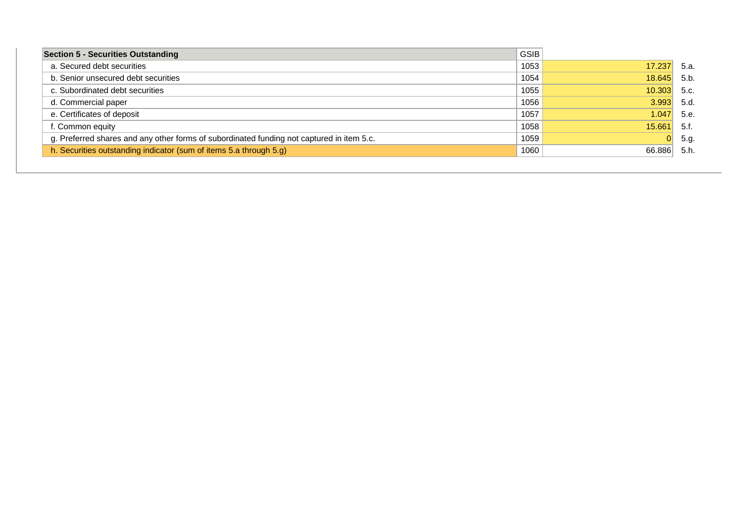| <b>Section 5 - Securities Outstanding</b>                                                 | <b>GSIB</b> |        |       |
|-------------------------------------------------------------------------------------------|-------------|--------|-------|
| a. Secured debt securities                                                                | 1053        | 17.237 | 5.a.  |
| b. Senior unsecured debt securities                                                       | 1054        | 18.645 | 5.b.  |
| c. Subordinated debt securities                                                           | 1055        | 10.303 | 5.c.  |
| d. Commercial paper                                                                       | 1056        | 3.993  | 5.d.  |
| e. Certificates of deposit                                                                | 1057        | 1.047  | 5.e.  |
| f. Common equity                                                                          | 1058        | 15.661 | -5.f. |
| g. Preferred shares and any other forms of subordinated funding not captured in item 5.c. | 1059        | 0      | 5.g.  |
| h. Securities outstanding indicator (sum of items 5.a through 5.g)                        | 1060        | 66.886 | 5.h.  |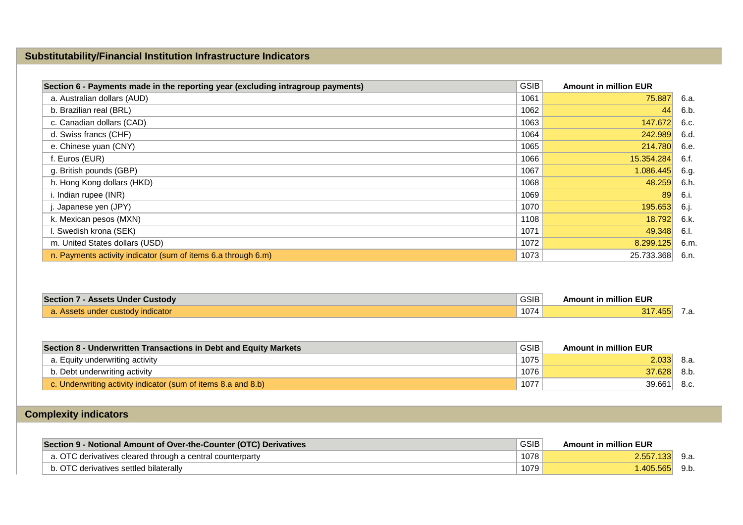## **Substitutability/Financial Institution Infrastructure Indicators**

| Section 6 - Payments made in the reporting year (excluding intragroup payments) | <b>GSIB</b> | <b>Amount in million EUR</b> |      |
|---------------------------------------------------------------------------------|-------------|------------------------------|------|
| a. Australian dollars (AUD)                                                     | 1061        | 75.887                       | 6.a. |
| b. Brazilian real (BRL)                                                         | 1062        | 44                           | 6.b. |
| c. Canadian dollars (CAD)                                                       | 1063        | 147.672                      | 6.c. |
| d. Swiss francs (CHF)                                                           | 1064        | 242.989                      | 6.d. |
| e. Chinese yuan (CNY)                                                           | 1065        | 214,780                      | 6.e. |
| f. Euros (EUR)                                                                  | 1066        | 15.354.284                   | 6.f. |
| g. British pounds (GBP)                                                         | 1067        | 1.086.445                    | 6.g. |
| h. Hong Kong dollars (HKD)                                                      | 1068        | 48.259                       | 6.h. |
| i. Indian rupee (INR)                                                           | 1069        | 89                           | 6.i. |
| Japanese yen (JPY)                                                              | 1070        | 195.653                      | 6.j. |
| k. Mexican pesos (MXN)                                                          | 1108        | 18.792                       | 6.k. |
| I. Swedish krona (SEK)                                                          | 1071        | 49.348                       | 6.I. |
| m. United States dollars (USD)                                                  | 1072        | 8.299.125                    | 6.m. |
| n. Payments activity indicator (sum of items 6.a through 6.m)                   | 1073        | 25.733.368                   | 6.n. |

| <b>Section 7 - Assets Under Custody</b> | <b>GSIB</b> | <b>Amount in million EUR</b> |     |
|-----------------------------------------|-------------|------------------------------|-----|
| . Assets under custody indicator.       | 1074        | 317.455                      | . а |

| Section 8 - Underwritten Transactions in Debt and Equity Markets | <b>GSIB</b> | <b>Amount in million EUR</b> |       |
|------------------------------------------------------------------|-------------|------------------------------|-------|
| a. Equity underwriting activity                                  | 1075        | 2.033                        | -8.a. |
| b. Debt underwriting activity                                    | 1076        | 37.628                       | 8.b.  |
| c. Underwriting activity indicator (sum of items 8.a and 8.b)    | 1077        | 39.661                       | 8.c.  |

# **Complexity indicators**

| Section 9 - Notional Amount of Over-the-Counter (OTC) Derivatives | <b>GSIB</b> | <b>Amount in million EUR</b> |  |
|-------------------------------------------------------------------|-------------|------------------------------|--|
| a. OTC derivatives cleared through a central counterparty         | 1078        | 2.557.133                    |  |
| b. OTC derivatives settled bilaterally                            | 1079        | $-405.565$                   |  |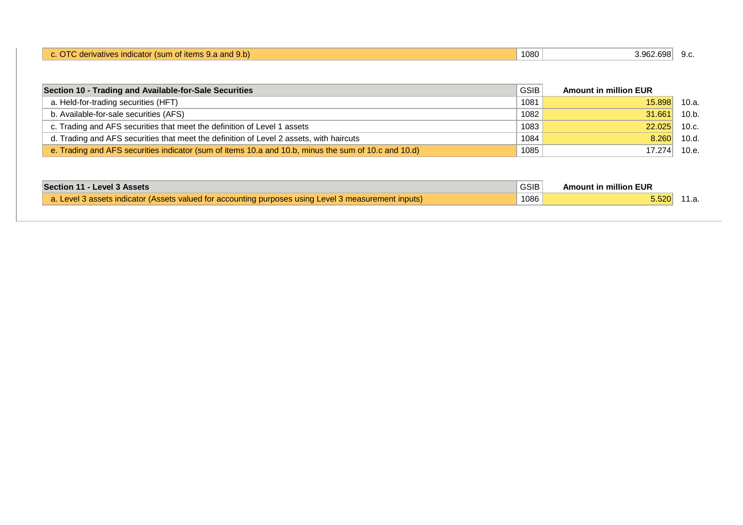|  | $-$ 3.3 and 9.b)<br>sum<br>nerivativo<br>tems. | 1080 | 2.698<br>.<br><u>.</u> | $\sim$<br>ິ.ບ. |
|--|------------------------------------------------|------|------------------------|----------------|
|--|------------------------------------------------|------|------------------------|----------------|

| Section 10 - Trading and Available-for-Sale Securities                                               | <b>GSIB</b> | <b>Amount in million EUR</b> |               |
|------------------------------------------------------------------------------------------------------|-------------|------------------------------|---------------|
| a. Held-for-trading securities (HFT)                                                                 | 1081        | 15,898                       | 10.a.         |
| b. Available-for-sale securities (AFS)                                                               | 1082        | 31.661                       | 10.b.         |
| c. Trading and AFS securities that meet the definition of Level 1 assets                             | 1083        | 22.025                       | 10.c.         |
| d. Trading and AFS securities that meet the definition of Level 2 assets, with haircuts              | 1084        |                              | $8.260$ 10.d. |
| e. Trading and AFS securities indicator (sum of items 10.a and 10.b, minus the sum of 10.c and 10.d) | 1085        | 17.274                       | 10.e.         |

| Section 11 - Level 3 Assets                                                                          | GSIB | <b>Amount in million EUR</b> |       |
|------------------------------------------------------------------------------------------------------|------|------------------------------|-------|
| a. Level 3 assets indicator (Assets valued for accounting purposes using Level 3 measurement inputs) | 1086 | 5.520                        | 11.a. |